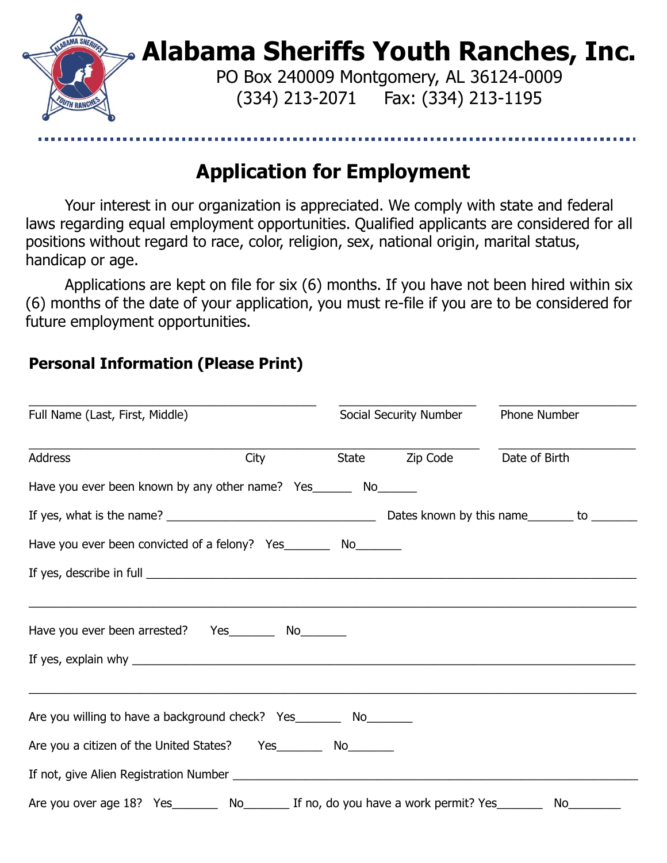

## **Application for Employment**

Your interest in our organization is appreciated. We comply with state and federal laws regarding equal employment opportunities. Qualified applicants are considered for all positions without regard to race, color, religion, sex, national origin, marital status, handicap or age.

Applications are kept on file for six (6) months. If you have not been hired within six (6) months of the date of your application, you must re-file if you are to be considered for future employment opportunities.

 $\_$  ,  $\_$  ,  $\_$  ,  $\_$  ,  $\_$  ,  $\_$  ,  $\_$  ,  $\_$  ,  $\_$  ,  $\_$  ,  $\_$  ,  $\_$  ,  $\_$  ,  $\_$  ,  $\_$  ,  $\_$  ,  $\_$  ,  $\_$  ,  $\_$  ,  $\_$  ,  $\_$  ,  $\_$  ,  $\_$  ,  $\_$  ,  $\_$  ,  $\_$  ,  $\_$  ,  $\_$  ,  $\_$  ,  $\_$  ,  $\_$  ,  $\_$  ,  $\_$  ,  $\_$  ,  $\_$  ,  $\_$  ,  $\_$  ,

#### **Personal Information (Please Print)**

| Full Name (Last, First, Middle)                                                                            |                  | Social Security Number       | Phone Number |  |
|------------------------------------------------------------------------------------------------------------|------------------|------------------------------|--------------|--|
| Address                                                                                                    | <b>City City</b> | State Zip Code Date of Birth |              |  |
| Have you ever been known by any other name? Yes_________ No_______                                         |                  |                              |              |  |
|                                                                                                            |                  |                              |              |  |
| Have you ever been convicted of a felony? Yes__________ No_________                                        |                  |                              |              |  |
|                                                                                                            |                  |                              |              |  |
| Have you ever been arrested? Yes _________ No________                                                      |                  |                              |              |  |
|                                                                                                            |                  |                              |              |  |
| Are you willing to have a background check? Yes__________ No_________                                      |                  |                              |              |  |
| Are you a citizen of the United States? Yes _________ No________                                           |                  |                              |              |  |
|                                                                                                            |                  |                              |              |  |
| Are you over age 18? Yes _________ No_________ If no, do you have a work permit? Yes _________ No_________ |                  |                              |              |  |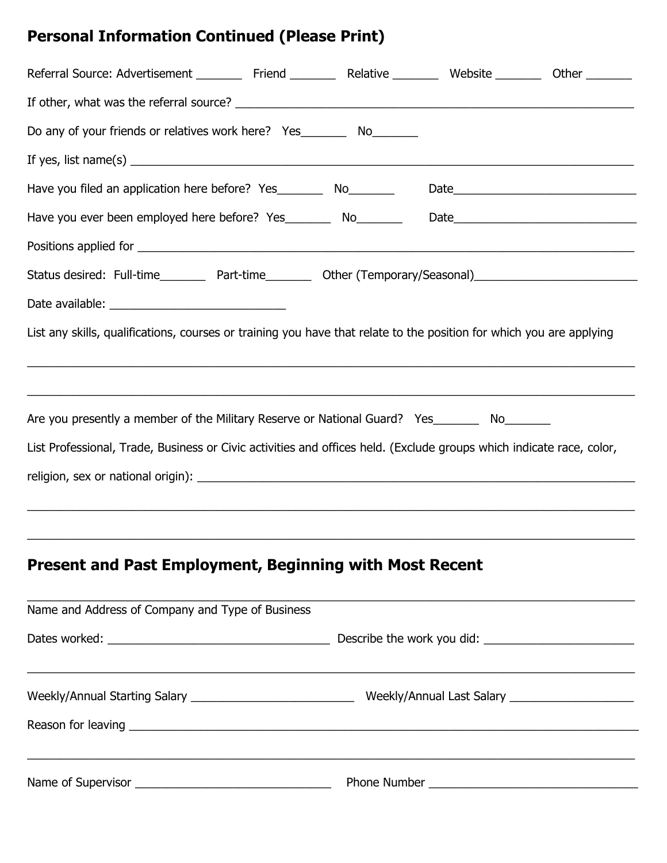# **Personal Information Continued (Please Print)**

| Referral Source: Advertisement __________ Friend __________ Relative __________ Website _________ Other _______      |  |  |  |  |  |  |
|----------------------------------------------------------------------------------------------------------------------|--|--|--|--|--|--|
|                                                                                                                      |  |  |  |  |  |  |
| Do any of your friends or relatives work here? Yes__________ No_________                                             |  |  |  |  |  |  |
| If yes, list name(s) $\overline{\phantom{a}}$                                                                        |  |  |  |  |  |  |
| Have you filed an application here before? Yes__________ No________                                                  |  |  |  |  |  |  |
|                                                                                                                      |  |  |  |  |  |  |
|                                                                                                                      |  |  |  |  |  |  |
| Status desired: Full-time__________ Part-time__________ Other (Temporary/Seasonal)___________________________        |  |  |  |  |  |  |
|                                                                                                                      |  |  |  |  |  |  |
| List any skills, qualifications, courses or training you have that relate to the position for which you are applying |  |  |  |  |  |  |
|                                                                                                                      |  |  |  |  |  |  |
| Are you presently a member of the Military Reserve or National Guard? Yes________ No________                         |  |  |  |  |  |  |
| List Professional, Trade, Business or Civic activities and offices held. (Exclude groups which indicate race, color, |  |  |  |  |  |  |
|                                                                                                                      |  |  |  |  |  |  |
|                                                                                                                      |  |  |  |  |  |  |

## **Present and Past Employment, Beginning with Most Recent**

| Name and Address of Company and Type of Business |  |  |  |
|--------------------------------------------------|--|--|--|
|                                                  |  |  |  |
|                                                  |  |  |  |
|                                                  |  |  |  |

 $\_$  , and the set of the set of the set of the set of the set of the set of the set of the set of the set of the set of the set of the set of the set of the set of the set of the set of the set of the set of the set of th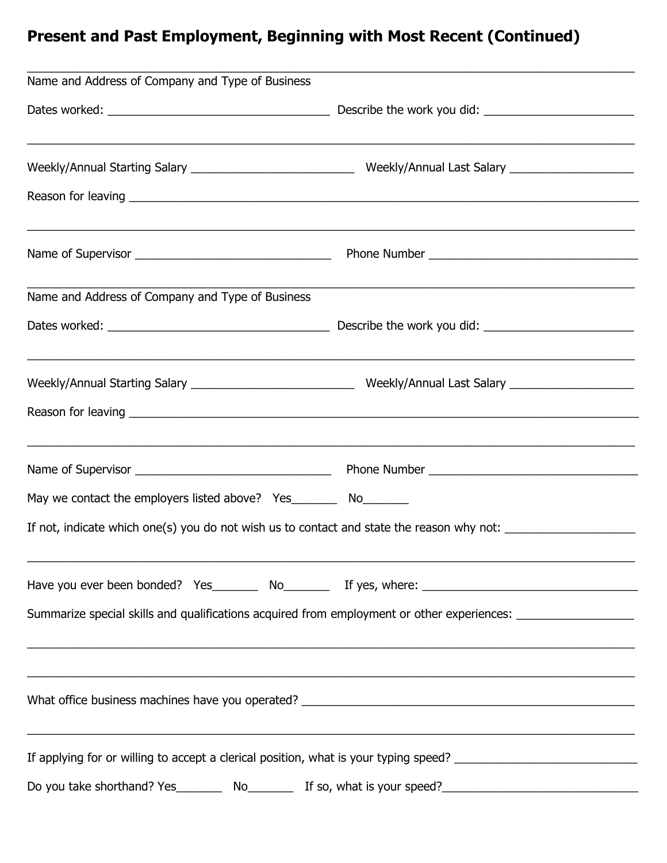# **Present and Past Employment, Beginning with Most Recent (Continued)**

| Name and Address of Company and Type of Business                   |                                                                                                                            |  |  |  |
|--------------------------------------------------------------------|----------------------------------------------------------------------------------------------------------------------------|--|--|--|
|                                                                    |                                                                                                                            |  |  |  |
|                                                                    |                                                                                                                            |  |  |  |
|                                                                    |                                                                                                                            |  |  |  |
|                                                                    |                                                                                                                            |  |  |  |
| Name and Address of Company and Type of Business                   | <u> 1989 - Johann Stoff, amerikansk politiker (d. 1989)</u>                                                                |  |  |  |
|                                                                    |                                                                                                                            |  |  |  |
|                                                                    | <u> 1989 - Johann John Stone, market fan de Amerikaanske kommunister fan de Amerikaanske kommunister fan de Amerikaans</u> |  |  |  |
|                                                                    |                                                                                                                            |  |  |  |
|                                                                    | ,我们也不能在这里的时候,我们也不能在这里的时候,我们也不能不能不能不能不能不能不能不能不能不能不能不能不能不能不能。""我们的是我们的,我们也不能不能不能不能                                           |  |  |  |
| May we contact the employers listed above? Yes_________ No________ |                                                                                                                            |  |  |  |
|                                                                    | If not, indicate which one(s) you do not wish us to contact and state the reason why not: ____________________             |  |  |  |
|                                                                    |                                                                                                                            |  |  |  |
|                                                                    | Summarize special skills and qualifications acquired from employment or other experiences: __________________              |  |  |  |
|                                                                    | ,我们也不能在这里的人,我们也不能在这里的人,我们也不能在这里的人,我们也不能在这里的人,我们也不能在这里的人,我们也不能在这里的人,我们也不能在这里的人,我们也                                          |  |  |  |
|                                                                    |                                                                                                                            |  |  |  |
|                                                                    | If applying for or willing to accept a clerical position, what is your typing speed? _________________________             |  |  |  |
|                                                                    | Do you take shorthand? Yes___________ No_____________ If so, what is your speed?______________________________             |  |  |  |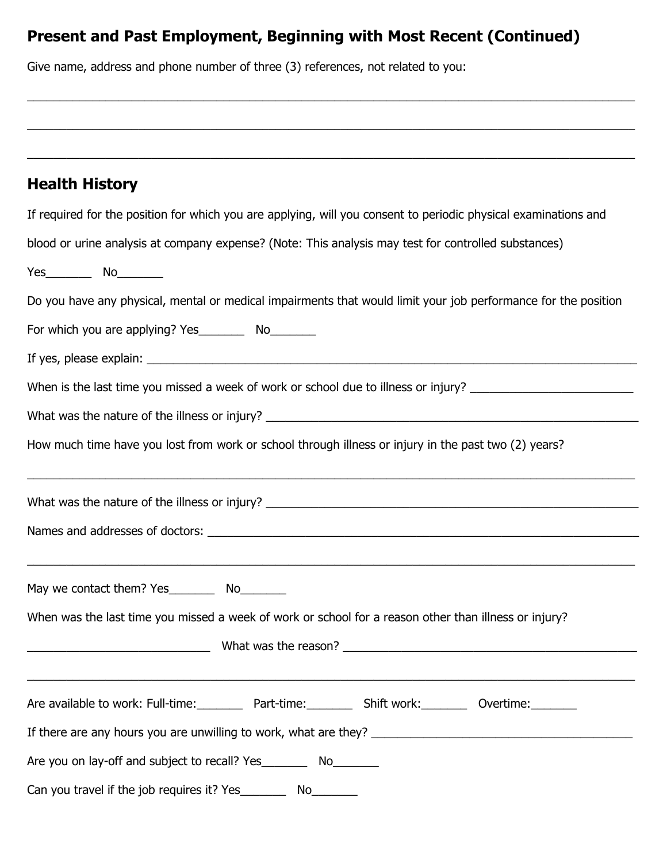### **Present and Past Employment, Beginning with Most Recent (Continued)**

 $\_$  , and the contribution of the contribution of the contribution of the contribution of the contribution of  $\mathcal{L}_\mathrm{max}$ 

 $\_$  , and the set of the set of the set of the set of the set of the set of the set of the set of the set of the set of the set of the set of the set of the set of the set of the set of the set of the set of the set of th

Give name, address and phone number of three (3) references, not related to you:

| <b>Health History</b>                                                                                                |
|----------------------------------------------------------------------------------------------------------------------|
| If required for the position for which you are applying, will you consent to periodic physical examinations and      |
| blood or urine analysis at company expense? (Note: This analysis may test for controlled substances)                 |
|                                                                                                                      |
| Do you have any physical, mental or medical impairments that would limit your job performance for the position       |
| For which you are applying? Yes ___________ No_________                                                              |
|                                                                                                                      |
| When is the last time you missed a week of work or school due to illness or injury?                                  |
|                                                                                                                      |
| How much time have you lost from work or school through illness or injury in the past two (2) years?                 |
| <u> 1989 - Jan James James James James James James James James James James James James James James James James J</u> |
|                                                                                                                      |
|                                                                                                                      |
| When was the last time you missed a week of work or school for a reason other than illness or injury?                |
|                                                                                                                      |
| Are available to work: Full-time:___________ Part-time:___________ Shift work:__________ Overtime:________           |
|                                                                                                                      |
| Are you on lay-off and subject to recall? Yes__________ No_________                                                  |
| Can you travel if the job requires it? Yes___________ No_________                                                    |